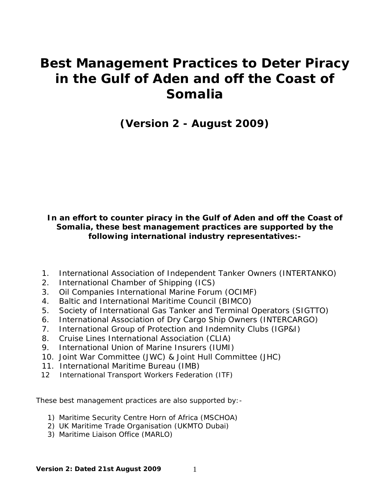# **Best Management Practices to Deter Piracy in the Gulf of Aden and off the Coast of Somalia**

**(Version 2 - August 2009)** 

## **In an effort to counter piracy in the Gulf of Aden and off the Coast of Somalia, these best management practices are supported by the following international industry representatives:-**

- 1. International Association of Independent Tanker Owners (INTERTANKO)
- 2. International Chamber of Shipping (ICS)
- 3. Oil Companies International Marine Forum (OCIMF)
- 4. Baltic and International Maritime Council (BIMCO)
- 5. Society of International Gas Tanker and Terminal Operators (SIGTTO)
- 6. International Association of Dry Cargo Ship Owners (INTERCARGO)
- 7. International Group of Protection and Indemnity Clubs (IGP&I)
- 8. Cruise Lines International Association (CLIA)
- 9. International Union of Marine Insurers (IUMI)
- 10. Joint War Committee (JWC) & Joint Hull Committee (JHC)
- 11. International Maritime Bureau (IMB)
- 12 International Transport Workers Federation (ITF)

These best management practices are also supported by:-

- 1) Maritime Security Centre Horn of Africa (MSCHOA)
- 2) UK Maritime Trade Organisation (UKMTO Dubai)
- 3) Maritime Liaison Office (MARLO)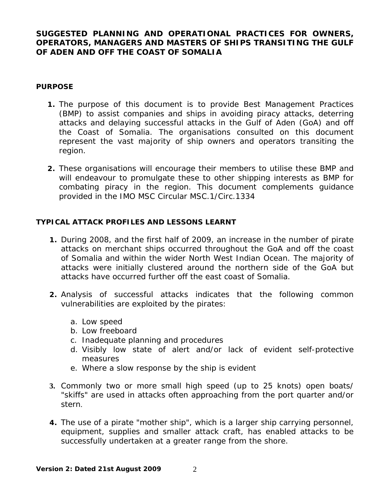# **SUGGESTED PLANNING AND OPERATIONAL PRACTICES FOR OWNERS, OPERATORS, MANAGERS AND MASTERS OF SHIPS TRANSITING THE GULF OF ADEN AND OFF THE COAST OF SOMALIA**

#### **PURPOSE**

- **1.** The purpose of this document is to provide Best Management Practices (BMP) to assist companies and ships in avoiding piracy attacks, deterring attacks and delaying successful attacks in the Gulf of Aden (GoA) and off the Coast of Somalia. The organisations consulted on this document represent the vast majority of ship owners and operators transiting the region.
- **2.** These organisations will encourage their members to utilise these BMP and will endeavour to promulgate these to other shipping interests as BMP for combating piracy in the region. This document complements guidance provided in the IMO MSC Circular MSC.1/Circ.1334

## **TYPICAL ATTACK PROFILES AND LESSONS LEARNT**

- **1.** During 2008, and the first half of 2009, an increase in the number of pirate attacks on merchant ships occurred throughout the GoA and off the coast of Somalia and within the wider North West Indian Ocean. The majority of attacks were initially clustered around the northern side of the GoA but attacks have occurred further off the east coast of Somalia.
- **2.** Analysis of successful attacks indicates that the following common vulnerabilities are exploited by the pirates:
	- a. Low speed
	- b. Low freeboard
	- c. Inadequate planning and procedures
	- d. Visibly low state of alert and/or lack of evident self-protective measures
	- e. Where a slow response by the ship is evident
- **3.** Commonly two or more small high speed (up to 25 knots) open boats/ "skiffs" are used in attacks often approaching from the port quarter and/or stern.
- **4.** The use of a pirate "mother ship", which is a larger ship carrying personnel, equipment, supplies and smaller attack craft, has enabled attacks to be successfully undertaken at a greater range from the shore.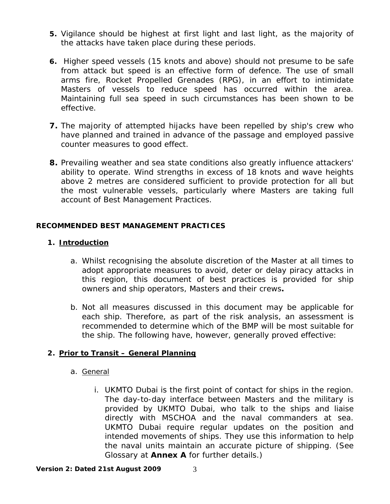- **5.** Vigilance should be highest at first light and last light, as the majority of the attacks have taken place during these periods.
- **6.** Higher speed vessels (15 knots and above) should not presume to be safe from attack but speed is an effective form of defence. The use of small arms fire, Rocket Propelled Grenades (RPG), in an effort to intimidate Masters of vessels to reduce speed has occurred within the area. Maintaining full sea speed in such circumstances has been shown to be effective.
- **7.** The majority of attempted hijacks have been repelled by ship's crew who have planned and trained in advance of the passage and employed passive counter measures to good effect.
- **8.** Prevailing weather and sea state conditions also greatly influence attackers' ability to operate. Wind strengths in excess of 18 knots and wave heights above 2 metres are considered sufficient to provide protection for all but the most vulnerable vessels, particularly where Masters are taking full account of Best Management Practices.

## **RECOMMENDED BEST MANAGEMENT PRACTICES**

## **1. Introduction**

- a. Whilst recognising the absolute discretion of the Master at all times to adopt appropriate measures to avoid, deter or delay piracy attacks in this region, this document of best practices is provided for ship owners and ship operators, Masters and their crews**.**
- b. Not all measures discussed in this document may be applicable for each ship. Therefore, as part of the risk analysis, an assessment is recommended to determine which of the BMP will be most suitable for the ship. The following have, however, generally proved effective:

# **2. Prior to Transit – General Planning**

#### a. General

i. UKMTO Dubai is the first point of contact for ships in the region. The day-to-day interface between Masters and the military is provided by UKMTO Dubai, who talk to the ships and liaise directly with MSCHOA and the naval commanders at sea. UKMTO Dubai require regular updates on the position and intended movements of ships. They use this information to help the naval units maintain an accurate picture of shipping. (See Glossary at **Annex A** for further details.)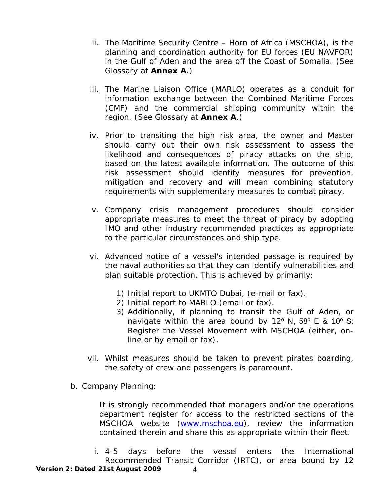- ii. The Maritime Security Centre Horn of Africa (MSCHOA), is the planning and coordination authority for EU forces (EU NAVFOR) in the Gulf of Aden and the area off the Coast of Somalia. (See Glossary at **Annex A**.)
- iii. The Marine Liaison Office (MARLO) operates as a conduit for information exchange between the Combined Maritime Forces (CMF) and the commercial shipping community within the region. (See Glossary at **Annex A**.)
- iv. Prior to transiting the high risk area, the owner and Master should carry out their own risk assessment to assess the likelihood and consequences of piracy attacks on the ship, based on the latest available information. The outcome of this risk assessment should identify measures for prevention, mitigation and recovery and will mean combining statutory requirements with supplementary measures to combat piracy.
- v. Company crisis management procedures should consider appropriate measures to meet the threat of piracy by adopting IMO and other industry recommended practices as appropriate to the particular circumstances and ship type.
- vi. Advanced notice of a vessel's intended passage is required by the naval authorities so that they can identify vulnerabilities and plan suitable protection. This is achieved by primarily:
	- 1) Initial report to UKMTO Dubai, (e-mail or fax).
	- 2) Initial report to MARLO (email or fax).
	- 3) Additionally, if planning to transit the Gulf of Aden, or navigate within the area bound by 12º N, 58º E & 10º S: Register the Vessel Movement with MSCHOA (either, online or by email or fax).
- vii. Whilst measures should be taken to prevent pirates boarding, the safety of crew and passengers is paramount.
- b. Company Planning:

It is strongly recommended that managers and/or the operations department register for access to the restricted sections of the MSCHOA website [\(www.mschoa.eu\)](http://www.mschoa.eu/), review the information contained therein and share this as appropriate within their fleet.

**Version 2: Dated 21st August 2009** 4 i. 4-5 days before the vessel enters the International Recommended Transit Corridor (IRTC), or area bound by 12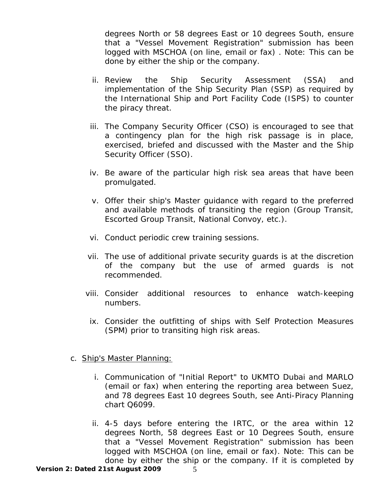degrees North or 58 degrees East or 10 degrees South, ensure that a "Vessel Movement Registration" submission has been logged with MSCHOA (on line, email or fax) . Note: This can be done by either the ship or the company.

- ii. Review the Ship Security Assessment (SSA) and implementation of the Ship Security Plan (SSP) as required by the International Ship and Port Facility Code (ISPS) to counter the piracy threat.
- iii. The Company Security Officer (CSO) is encouraged to see that a contingency plan for the high risk passage is in place, exercised, briefed and discussed with the Master and the Ship Security Officer (SSO).
- iv. Be aware of the particular high risk sea areas that have been promulgated.
- v. Offer their ship's Master guidance with regard to the preferred and available methods of transiting the region (Group Transit, Escorted Group Transit, National Convoy, etc.).
- vi. Conduct periodic crew training sessions.
- vii. The use of additional private security guards is at the discretion of the company but the use of armed guards is not recommended.
- viii. Consider additional resources to enhance watch-keeping numbers.
- ix. Consider the outfitting of ships with Self Protection Measures (SPM) prior to transiting high risk areas.

#### c. Ship's Master Planning:

- i. Communication of "Initial Report" to UKMTO Dubai and MARLO (email or fax) when entering the reporting area between Suez, and 78 degrees East 10 degrees South, see Anti-Piracy Planning chart Q6099.
- ii. 4-5 days before entering the IRTC, or the area within 12 degrees North, 58 degrees East or 10 Degrees South, ensure that a "Vessel Movement Registration" submission has been logged with MSCHOA (on line, email or fax). Note: This can be done by either the ship or the company. If it is completed by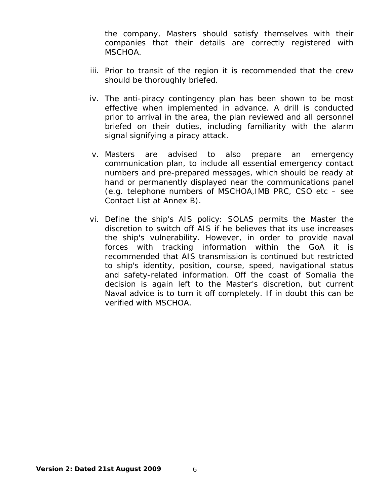the company, Masters should satisfy themselves with their companies that their details are correctly registered with MSCHOA.

- iii. Prior to transit of the region it is recommended that the crew should be thoroughly briefed.
- iv. The anti-piracy contingency plan has been shown to be most effective when implemented in advance. A drill is conducted prior to arrival in the area, the plan reviewed and all personnel briefed on their duties, including familiarity with the alarm signal signifying a piracy attack.
- v. Masters are advised to also prepare an emergency communication plan, to include all essential emergency contact numbers and pre-prepared messages, which should be ready at hand or permanently displayed near the communications panel (e.g. telephone numbers of MSCHOA,IMB PRC, CSO etc – see Contact List at Annex B).
- vi. Define the ship's AIS policy: SOLAS permits the Master the discretion to switch off AIS if he believes that its use increases the ship's vulnerability. However, in order to provide naval forces with tracking information within the GoA it is recommended that AIS transmission is continued but restricted to ship's identity, position, course, speed, navigational status and safety-related information. Off the coast of Somalia the decision is again left to the Master's discretion, but current Naval advice is to turn it off completely. If in doubt this can be verified with MSCHOA.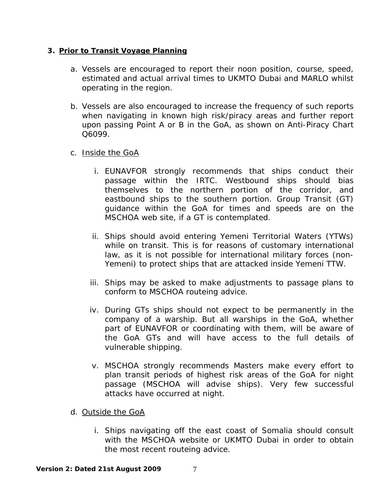#### **3. Prior to Transit Voyage Planning**

- a. Vessels are encouraged to report their noon position, course, speed, estimated and actual arrival times to UKMTO Dubai and MARLO whilst operating in the region.
- b. Vessels are also encouraged to increase the frequency of such reports when navigating in known high risk/piracy areas and further report upon passing Point A or B in the GoA, as shown on Anti-Piracy Chart Q6099.

# c. Inside the GoA

- i. EUNAVFOR strongly recommends that ships conduct their passage within the IRTC. Westbound ships should bias themselves to the northern portion of the corridor, and eastbound ships to the southern portion. Group Transit (GT) guidance within the GoA for times and speeds are on the MSCHOA web site, if a GT is contemplated.
- ii. Ships should avoid entering Yemeni Territorial Waters (YTWs) while on transit. This is for reasons of customary international law, as it is not possible for international military forces (non-Yemeni) to protect ships that are attacked inside Yemeni TTW.
- iii. Ships may be asked to make adjustments to passage plans to conform to MSCHOA routeing advice.
- iv. During GTs ships should not expect to be permanently in the company of a warship. But all warships in the GoA, whether part of EUNAVFOR or coordinating with them, will be aware of the GoA GTs and will have access to the full details of vulnerable shipping.
- v. MSCHOA strongly recommends Masters make every effort to plan transit periods of highest risk areas of the GoA for night passage (MSCHOA will advise ships). Very few successful attacks have occurred at night.
- d. Outside the GoA
	- i. Ships navigating off the east coast of Somalia should consult with the MSCHOA website or UKMTO Dubai in order to obtain the most recent routeing advice.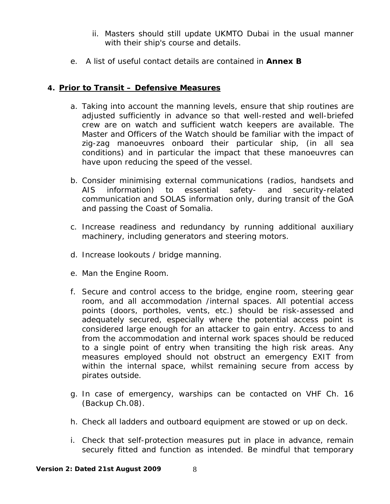- ii. Masters should still update UKMTO Dubai in the usual manner with their ship's course and details.
- e. A list of useful contact details are contained in **Annex B**

# **4. Prior to Transit – Defensive Measures**

- a. Taking into account the manning levels, ensure that ship routines are adjusted sufficiently in advance so that well-rested and well-briefed crew are on watch and sufficient watch keepers are available. The Master and Officers of the Watch should be familiar with the impact of zig-zag manoeuvres onboard their particular ship, (in all sea conditions) and in particular the impact that these manoeuvres can have upon reducing the speed of the vessel.
- b. Consider minimising external communications (radios, handsets and AIS information) to essential safety- and security-related communication and SOLAS information only, during transit of the GoA and passing the Coast of Somalia.
- c. Increase readiness and redundancy by running additional auxiliary machinery, including generators and steering motors.
- d. Increase lookouts / bridge manning.
- e. Man the Engine Room.
- f. Secure and control access to the bridge, engine room, steering gear room, and all accommodation /internal spaces. All potential access points (doors, portholes, vents, etc.) should be risk-assessed and adequately secured, especially where the potential access point is considered large enough for an attacker to gain entry. Access to and from the accommodation and internal work spaces should be reduced to a single point of entry when transiting the high risk areas. Any measures employed should not obstruct an emergency EXIT from within the internal space, whilst remaining secure from access by pirates outside.
- g. In case of emergency, warships can be contacted on VHF Ch. 16 (Backup Ch.08).
- h. Check all ladders and outboard equipment are stowed or up on deck.
- i. Check that self-protection measures put in place in advance, remain securely fitted and function as intended. Be mindful that temporary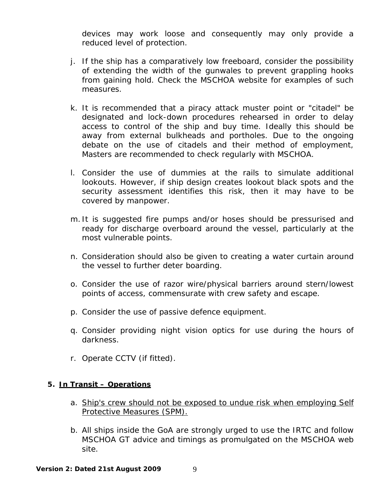devices may work loose and consequently may only provide a reduced level of protection.

- j. If the ship has a comparatively low freeboard, consider the possibility of extending the width of the gunwales to prevent grappling hooks from gaining hold. Check the MSCHOA website for examples of such measures.
- k. It is recommended that a piracy attack muster point or "citadel" be designated and lock-down procedures rehearsed in order to delay access to control of the ship and buy time. Ideally this should be away from external bulkheads and portholes. Due to the ongoing debate on the use of citadels and their method of employment, Masters are recommended to check regularly with MSCHOA.
- l. Consider the use of dummies at the rails to simulate additional lookouts. However, if ship design creates lookout black spots and the security assessment identifies this risk, then it may have to be covered by manpower.
- m. It is suggested fire pumps and/or hoses should be pressurised and ready for discharge overboard around the vessel, particularly at the most vulnerable points.
- n. Consideration should also be given to creating a water curtain around the vessel to further deter boarding.
- o. Consider the use of razor wire/physical barriers around stern/lowest points of access, commensurate with crew safety and escape.
- p. Consider the use of passive defence equipment.
- q. Consider providing night vision optics for use during the hours of darkness.
- r. Operate CCTV (if fitted).

#### **5. In Transit – Operations**

- a. Ship's crew should not be exposed to undue risk when employing Self Protective Measures (SPM).
- b. All ships inside the GoA are strongly urged to use the IRTC and follow MSCHOA GT advice and timings as promulgated on the MSCHOA web site.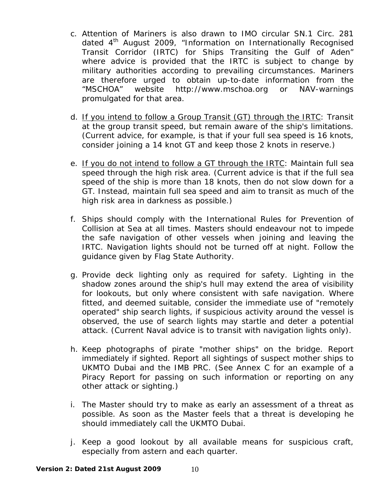- c. Attention of Mariners is also drawn to IMO circular SN.1 Circ. 281 dated 4th August 2009, *"Information on Internationally Recognised Transit Corridor (IRTC) for Ships Transiting the Gulf of Aden"* where advice is provided that the IRTC is subject to change by military authorities according to prevailing circumstances. Mariners are therefore urged to obtain up-to-date information from the "MSCHOA" website http://www.mschoa.org or NAV-warnings promulgated for that area.
- d. If you intend to follow a Group Transit (GT) through the IRTC: Transit at the group transit speed, but remain aware of the ship's limitations. (Current advice, for example, is that if your full sea speed is 16 knots, consider joining a 14 knot GT and keep those 2 knots in reserve.)
- e. If you do not intend to follow a GT through the IRTC: Maintain full sea speed through the high risk area. (Current advice is that if the full sea speed of the ship is more than 18 knots, then do not slow down for a GT. Instead, maintain full sea speed and aim to transit as much of the high risk area in darkness as possible.)
- f. Ships should comply with the International Rules for Prevention of Collision at Sea at all times. Masters should endeavour not to impede the safe navigation of other vessels when joining and leaving the IRTC. Navigation lights should not be turned off at night. Follow the guidance given by Flag State Authority.
- g. Provide deck lighting only as required for safety. Lighting in the shadow zones around the ship's hull may extend the area of visibility for lookouts, but only where consistent with safe navigation. Where fitted, and deemed suitable, consider the immediate use of "remotely operated" ship search lights, if suspicious activity around the vessel is observed, the use of search lights may startle and deter a potential attack. (Current Naval advice is to transit with navigation lights only).
- h. Keep photographs of pirate "mother ships" on the bridge. Report immediately if sighted. Report all sightings of suspect mother ships to UKMTO Dubai and the IMB PRC. (See Annex C for an example of a Piracy Report for passing on such information or reporting on any other attack or sighting.)
- i. The Master should try to make as early an assessment of a threat as possible. As soon as the Master feels that a threat is developing he should immediately call the UKMTO Dubai.
- j. Keep a good lookout by all available means for suspicious craft, especially from astern and each quarter.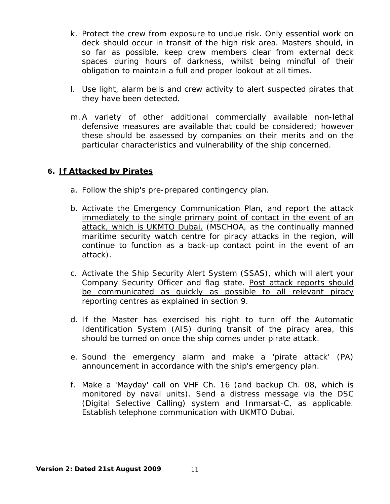- k. Protect the crew from exposure to undue risk. Only essential work on deck should occur in transit of the high risk area. Masters should, in so far as possible, keep crew members clear from external deck spaces during hours of darkness, whilst being mindful of their obligation to maintain a full and proper lookout at all times.
- l. Use light, alarm bells and crew activity to alert suspected pirates that they have been detected.
- m.A variety of other additional commercially available non-lethal defensive measures are available that could be considered; however these should be assessed by companies on their merits and on the particular characteristics and vulnerability of the ship concerned.

## **6. If Attacked by Pirates**

- a. Follow the ship's pre-prepared contingency plan.
- *b.* Activate the Emergency Communication Plan, and report the attack immediately to the single primary point of contact in the event of an attack, which is UKMTO Dubai. *(MSCHOA, as the continually manned maritime security watch centre for piracy attacks in the region, will continue to function as a back-up contact point in the event of an attack).*
- c. Activate the Ship Security Alert System (SSAS), which will alert your Company Security Officer and flag state. *Post attack reports should be communicated as quickly as possible to all relevant piracy reporting centres as explained in section 9.*
- d. If the Master has exercised his right to turn off the Automatic Identification System (AIS) during transit of the piracy area, this should be turned on once the ship comes under pirate attack.
- e. Sound the emergency alarm and make a 'pirate attack' (PA) announcement in accordance with the ship's emergency plan.
- f. Make a 'Mayday' call on VHF Ch. 16 (and backup Ch. 08, which is monitored by naval units). Send a distress message via the DSC (Digital Selective Calling) system and Inmarsat-C, as applicable. Establish telephone communication with UKMTO Dubai.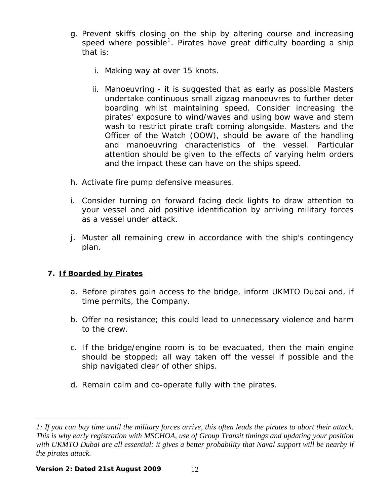- g. Prevent skiffs closing on the ship by altering course and increasing speed where possible<sup>[1](#page-11-0)</sup>. Pirates have great difficulty boarding a ship that is:
	- i. Making way at over 15 knots.
	- ii. Manoeuvring it is suggested that as early as possible Masters undertake continuous small zigzag manoeuvres to further deter boarding whilst maintaining speed. Consider increasing the pirates' exposure to wind/waves and using bow wave and stern wash to restrict pirate craft coming alongside. Masters and the Officer of the Watch (OOW), should be aware of the handling and manoeuvring characteristics of the vessel. Particular attention should be given to the effects of varying helm orders and the impact these can have on the ships speed.
- h. Activate fire pump defensive measures.
- i. Consider turning on forward facing deck lights to draw attention to your vessel and aid positive identification by arriving military forces as a vessel under attack.
- j. Muster all remaining crew in accordance with the ship's contingency plan.

# **7. If Boarded by Pirates**

 $\overline{a}$ 

- a. Before pirates gain access to the bridge, inform UKMTO Dubai and, if time permits, the Company.
- b. Offer no resistance; this could lead to unnecessary violence and harm to the crew.
- c. If the bridge/engine room is to be evacuated, then the main engine should be stopped; all way taken off the vessel if possible and the ship navigated clear of other ships.
- d. Remain calm and co-operate fully with the pirates.

<span id="page-11-0"></span>*<sup>1:</sup> If you can buy time until the military forces arrive, this often leads the pirates to abort their attack. This is why early registration with MSCHOA, use of Group Transit timings and updating your position*  with UKMTO Dubai are all essential: it gives a better probability that Naval support will be nearby if *the pirates attack.*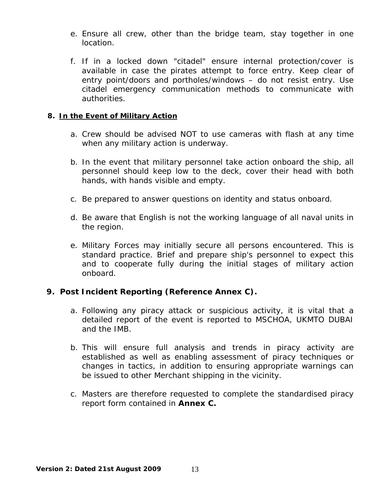- e. Ensure all crew, other than the bridge team, stay together in one location.
- f. If in a locked down "citadel" ensure internal protection/cover is available in case the pirates attempt to force entry. Keep clear of entry point/doors and portholes/windows – do not resist entry. Use citadel emergency communication methods to communicate with authorities.

## **8. In the Event of Military Action**

- a. Crew should be advised NOT to use cameras with flash at any time when any military action is underway.
- b. In the event that military personnel take action onboard the ship, all personnel should keep low to the deck, cover their head with both hands, with hands visible and empty.
- c. Be prepared to answer questions on identity and status onboard.
- d. Be aware that English is not the working language of all naval units in the region.
- e. Military Forces may initially secure all persons encountered. This is standard practice. Brief and prepare ship's personnel to expect this and to cooperate fully during the initial stages of military action onboard.

# **9. Post Incident Reporting (Reference Annex C).**

- a. Following any piracy attack or suspicious activity, it is vital that a detailed report of the event is reported to MSCHOA, UKMTO DUBAI and the IMB.
- b. This will ensure full analysis and trends in piracy activity are established as well as enabling assessment of piracy techniques or changes in tactics, in addition to ensuring appropriate warnings can be issued to other Merchant shipping in the vicinity.
- c. Masters are therefore requested to complete the standardised piracy report form contained in **Annex C.**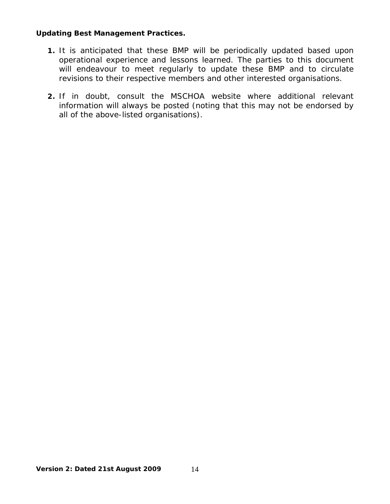#### **Updating Best Management Practices.**

- **1.** It is anticipated that these BMP will be periodically updated based upon operational experience and lessons learned. The parties to this document will endeavour to meet regularly to update these BMP and to circulate revisions to their respective members and other interested organisations.
- **2.** If in doubt, consult the MSCHOA website where additional relevant information will always be posted (noting that this may not be endorsed by all of the above-listed organisations).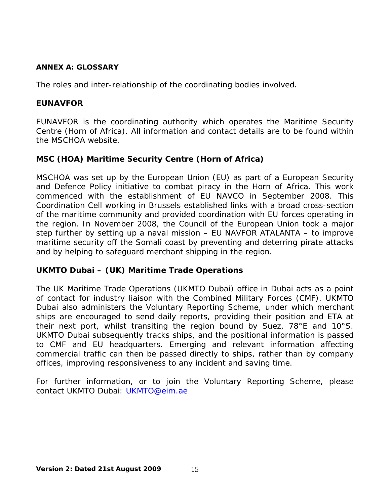#### **ANNEX A: GLOSSARY**

The roles and inter-relationship of the coordinating bodies involved.

## **EUNAVFOR**

EUNAVFOR is the coordinating authority which operates the Maritime Security Centre (Horn of Africa). All information and contact details are to be found within the MSCHOA website.

# **MSC (HOA) Maritime Security Centre (Horn of Africa)**

MSCHOA was set up by the European Union (EU) as part of a European Security and Defence Policy initiative to combat piracy in the Horn of Africa. This work commenced with the establishment of EU NAVCO in September 2008. This Coordination Cell working in Brussels established links with a broad cross-section of the maritime community and provided coordination with EU forces operating in the region. In November 2008, the Council of the European Union took a major step further by setting up a naval mission – EU NAVFOR ATALANTA – to improve maritime security off the Somali coast by preventing and deterring pirate attacks and by helping to safeguard merchant shipping in the region.

# **UKMTO Dubai – (UK) Maritime Trade Operations**

The UK Maritime Trade Operations (UKMTO Dubai) office in Dubai acts as a point of contact for industry liaison with the Combined Military Forces (CMF). UKMTO Dubai also administers the Voluntary Reporting Scheme, under which merchant ships are encouraged to send daily reports, providing their position and ETA at their next port, whilst transiting the region bound by Suez, 78°E and 10°S. UKMTO Dubai subsequently tracks ships, and the positional information is passed to CMF and EU headquarters. Emerging and relevant information affecting commercial traffic can then be passed directly to ships, rather than by company offices, improving responsiveness to any incident and saving time.

For further information, or to join the Voluntary Reporting Scheme, please contact UKMTO Dubai: UKMTO@eim.ae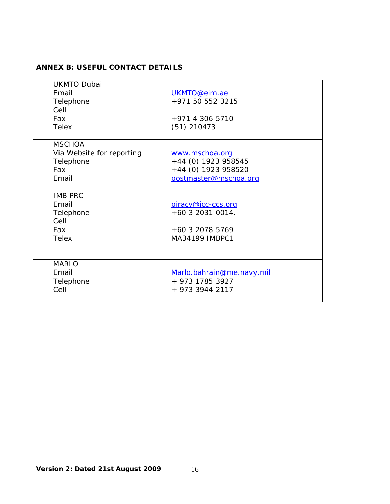## **ANNEX B: USEFUL CONTACT DETAILS**

| <b>UKMTO Dubai</b><br>Email<br>Telephone<br>Cell<br>Fax<br><b>Telex</b> | UKMTO@eim.ae<br>+971 50 552 3215<br>+971 4 306 5710<br>$(51)$ 210473                  |
|-------------------------------------------------------------------------|---------------------------------------------------------------------------------------|
| <b>MSCHOA</b>                                                           |                                                                                       |
| Via Website for reporting<br>Telephone<br>Fax<br>Email                  | www.mschoa.org<br>+44 (0) 1923 958545<br>+44 (0) 1923 958520<br>postmaster@mschoa.org |
| <b>IMB PRC</b><br>Email<br>Telephone<br>Cell<br>Fax<br><b>Telex</b>     | piracy@icc-ccs.org<br>$+60$ 3 2031 0014.<br>+60 3 2078 5769<br>MA34199 IMBPC1         |
| <b>MARLO</b><br>Email<br>Telephone<br>Cell                              | Marlo.bahrain@me.navy.mil<br>+ 973 1785 3927<br>+ 973 3944 2117                       |